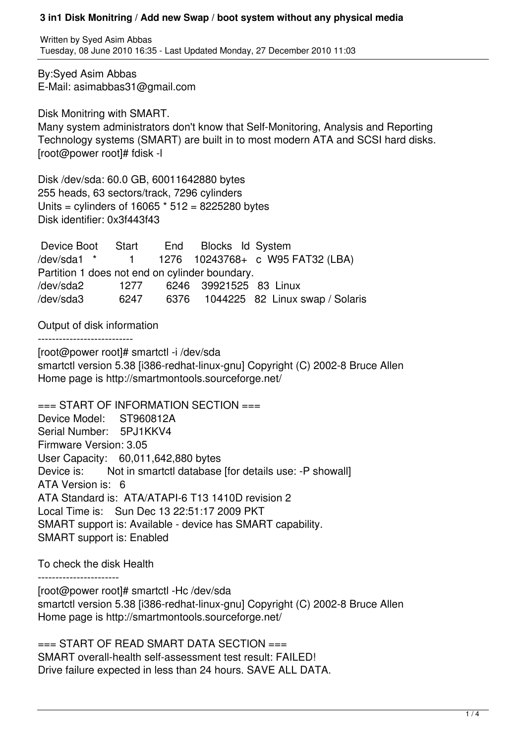Written by Syed Asim Abbas Tuesday, 08 June 2010 16:35 - Last Updated Monday, 27 December 2010 11:03

By:Syed Asim Abbas E-Mail: asimabbas31@gmail.com

Disk Monitring with SMART. Many system administrators don't know that Self-Monitoring, Analysis and Reporting Technology systems (SMART) are built in to most modern ATA and SCSI hard disks. [root@power root]# fdisk -l

Disk /dev/sda: 60.0 GB, 60011642880 bytes 255 heads, 63 sectors/track, 7296 cylinders Units = cylinders of 16065 \* 512 = 8225280 bytes Disk identifier: 0x3f443f43

 Device Boot Start End Blocks Id System /dev/sda1 \* 1 1276 10243768+ c W95 FAT32 (LBA) Partition 1 does not end on cylinder boundary. /dev/sda2 1277 6246 39921525 83 Linux /dev/sda3 6247 6376 1044225 82 Linux swap / Solaris

Output of disk information

---------------------------

[root@power root]# smartctl -i /dev/sda smartctl version 5.38 [i386-redhat-linux-gnu] Copyright (C) 2002-8 Bruce Allen Home page is http://smartmontools.sourceforge.net/

 $==$  START OF INFORMATION SECTION  $==$ Device Model: ST960812A Serial Number: 5PJ1KKV4 Firmware Version: 3.05 User Capacity: 60,011,642,880 bytes Device is: Not in smartctl database [for details use: -P showall] ATA Version is: 6 ATA Standard is: ATA/ATAPI-6 T13 1410D revision 2 Local Time is: Sun Dec 13 22:51:17 2009 PKT SMART support is: Available - device has SMART capability. SMART support is: Enabled

To check the disk Health

-----------------------

[root@power root]# smartctl -Hc /dev/sda smartctl version 5.38 [i386-redhat-linux-gnu] Copyright (C) 2002-8 Bruce Allen Home page is http://smartmontools.sourceforge.net/

 $==$  START OF READ SMART DATA SECTION  $==$ SMART overall-health self-assessment test result: FAILED! Drive failure expected in less than 24 hours. SAVE ALL DATA.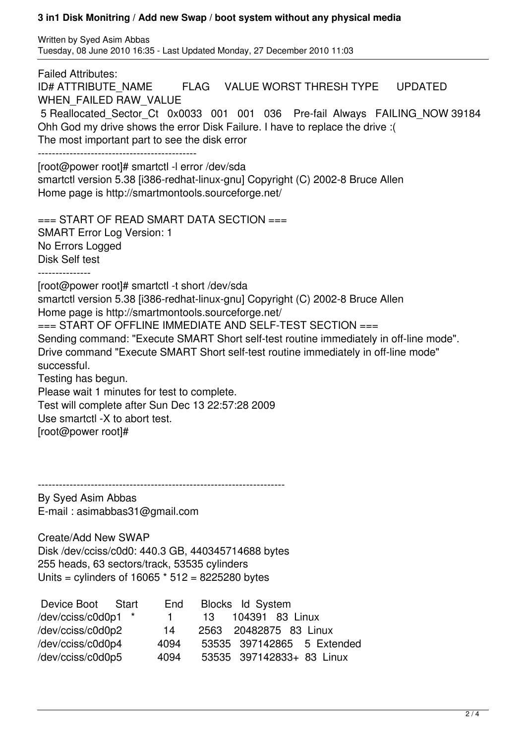Written by Syed Asim Abbas Tuesday, 08 June 2010 16:35 - Last Updated Monday, 27 December 2010 11:03

Failed Attributes: ID# ATTRIBUTE\_NAME FLAG VALUE WORST THRESH TYPE UPDATED WHEN\_FAILED RAW\_VALUE 5 Reallocated\_Sector\_Ct 0x0033 001 001 036 Pre-fail Always FAILING\_NOW 39184 Ohh God my drive shows the error Disk Failure. I have to replace the drive :( The most important part to see the disk error --------------------------------------------- [root@power root]# smartctl -l error /dev/sda smartctl version 5.38 [i386-redhat-linux-gnu] Copyright (C) 2002-8 Bruce Allen Home page is http://smartmontools.sourceforge.net/  $==$  START OF READ SMART DATA SECTION  $==$ SMART Error Log Version: 1 No Errors Logged Disk Self test --------------- [root@power root]# smartctl -t short /dev/sda smartctl version 5.38 [i386-redhat-linux-gnu] Copyright (C) 2002-8 Bruce Allen Home page is http://smartmontools.sourceforge.net/ === START OF OFFLINE IMMEDIATE AND SELF-TEST SECTION === Sending command: "Execute SMART Short self-test routine immediately in off-line mode". Drive command "Execute SMART Short self-test routine immediately in off-line mode" successful. Testing has begun. Please wait 1 minutes for test to complete. Test will complete after Sun Dec 13 22:57:28 2009 Use smartctl -X to abort test.

[root@power root]#

----------------------------------------------------------------------

By Syed Asim Abbas E-mail : asimabbas31@gmail.com

Create/Add New SWAP Disk /dev/cciss/c0d0: 440.3 GB, 440345714688 bytes 255 heads, 63 sectors/track, 53535 cylinders Units = cylinders of 16065 \* 512 = 8225280 bytes

| Device Boot Start   | End       | Blocks Id System           |
|---------------------|-----------|----------------------------|
| /dev/cciss/c0d0p1 * | $1 \quad$ | 13 104391 83 Linux         |
| /dev/cciss/c0d0p2   | 14        | 2563 20482875 83 Linux     |
| /dev/cciss/c0d0p4   | 4094      | 53535 397142865 5 Extended |
| /dev/cciss/c0d0p5   | 4094      | 53535 397142833+ 83 Linux  |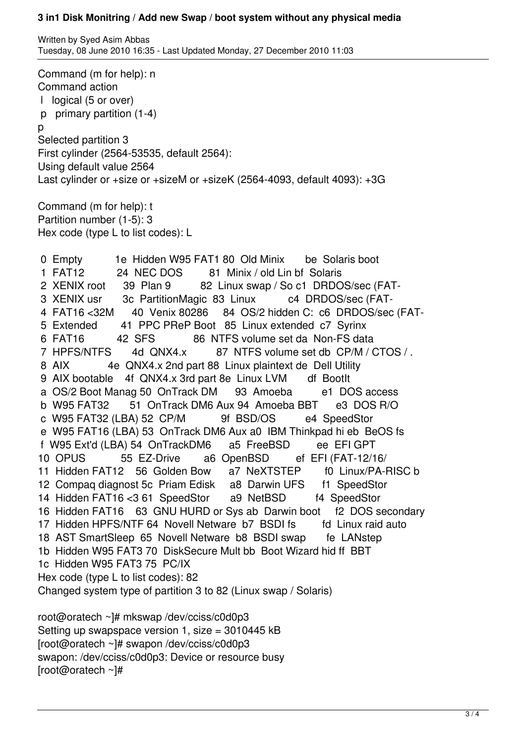Written by Syed Asim Abbas Tuesday, 08 June 2010 16:35 - Last Updated Monday, 27 December 2010 11:03

Command (m for help): n Command action l logical (5 or over) p primary partition (1-4) p Selected partition 3 First cylinder (2564-53535, default 2564): Using default value 2564 Last cylinder or +size or +sizeM or +sizeK (2564-4093, default 4093): +3G Command (m for help): t Partition number (1-5): 3 Hex code (type L to list codes): L 0 Empty 1e Hidden W95 FAT1 80 Old Minix be Solaris boot 1 FAT12 24 NEC DOS 81 Minix / old Lin bf Solaris 2 XENIX root 39 Plan 9 82 Linux swap / So c1 DRDOS/sec (FAT- 3 XENIX usr 3c PartitionMagic 83 Linux c4 DRDOS/sec (FAT- 4 FAT16 <32M 40 Venix 80286 84 OS/2 hidden C: c6 DRDOS/sec (FAT- 5 Extended 41 PPC PReP Boot 85 Linux extended c7 Syrinx 6 FAT16 42 SFS 86 NTFS volume set da Non-FS data 7 HPFS/NTFS 4d QNX4.x 87 NTFS volume set db CP/M / CTOS / . 8 AIX 4e QNX4.x 2nd part 88 Linux plaintext de Dell Utility 9 AIX bootable 4f QNX4.x 3rd part 8e Linux LVM df BootIt a OS/2 Boot Manag 50 OnTrack DM 93 Amoeba e1 DOS access b W95 FAT32 51 OnTrack DM6 Aux 94 Amoeba BBT e3 DOS R/O c W95 FAT32 (LBA) 52 CP/M 9f BSD/OS e4 SpeedStor e W95 FAT16 (LBA) 53 OnTrack DM6 Aux a0 IBM Thinkpad hi eb BeOS fs f W95 Ext'd (LBA) 54 OnTrackDM6 a5 FreeBSD ee EFI GPT 10 OPUS 55 EZ-Drive a6 OpenBSD ef EFI (FAT-12/16/ 11 Hidden FAT12 56 Golden Bow a7 NeXTSTEP f0 Linux/PA-RISC b 12 Compaq diagnost 5c Priam Edisk a8 Darwin UFS f1 SpeedStor 14 Hidden FAT16 <3 61 SpeedStor a9 NetBSD f4 SpeedStor 16 Hidden FAT16 63 GNU HURD or Sys ab Darwin boot f2 DOS secondary 17 Hidden HPFS/NTF 64 Novell Netware b7 BSDI fs fd Linux raid auto 18 AST SmartSleep 65 Novell Netware b8 BSDI swap fe LANstep 1b Hidden W95 FAT3 70 DiskSecure Mult bb Boot Wizard hid ff BBT 1c Hidden W95 FAT3 75 PC/IX Hex code (type L to list codes): 82 Changed system type of partition 3 to 82 (Linux swap / Solaris) root@oratech ~]# mkswap /dev/cciss/c0d0p3 Setting up swapspace version 1, size = 3010445 kB [root@oratech ~]# swapon /dev/cciss/c0d0p3 swapon: /dev/cciss/c0d0p3: Device or resource busy

[root@oratech ~]#